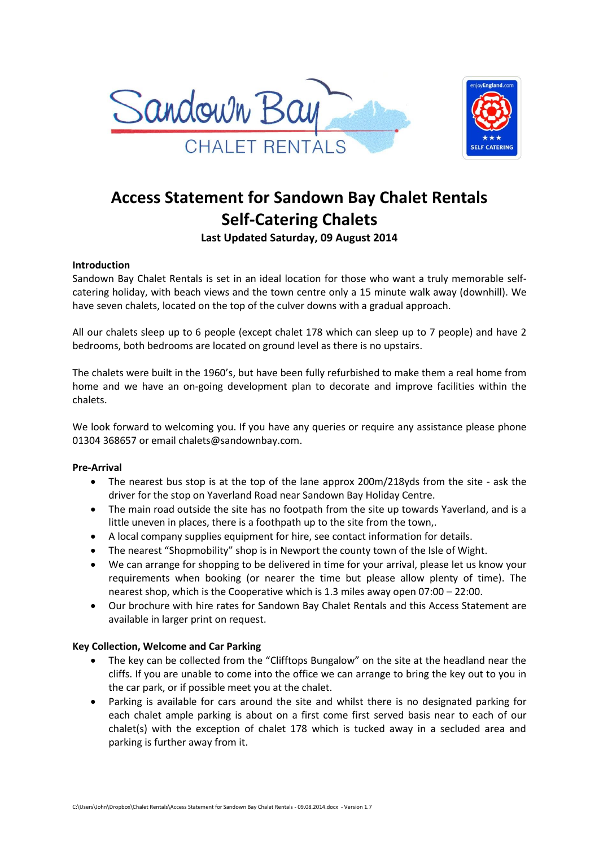



# **Access Statement for Sandown Bay Chalet Rentals Self-Catering Chalets**

**Last Updated Saturday, 09 August 2014**

# **Introduction**

Sandown Bay Chalet Rentals is set in an ideal location for those who want a truly memorable selfcatering holiday, with beach views and the town centre only a 15 minute walk away (downhill). We have seven chalets, located on the top of the culver downs with a gradual approach.

All our chalets sleep up to 6 people (except chalet 178 which can sleep up to 7 people) and have 2 bedrooms, both bedrooms are located on ground level as there is no upstairs.

The chalets were built in the 1960's, but have been fully refurbished to make them a real home from home and we have an on-going development plan to decorate and improve facilities within the chalets.

We look forward to welcoming you. If you have any queries or require any assistance please phone 01304 368657 or email chalets@sandownbay.com.

# **Pre-Arrival**

- The nearest bus stop is at the top of the lane approx 200m/218yds from the site ask the driver for the stop on Yaverland Road near Sandown Bay Holiday Centre.
- The main road outside the site has no footpath from the site up towards Yaverland, and is a little uneven in places, there is a foothpath up to the site from the town,.
- A local company supplies equipment for hire, see contact information for details.
- The nearest "Shopmobility" shop is in Newport the county town of the Isle of Wight.
- We can arrange for shopping to be delivered in time for your arrival, please let us know your requirements when booking (or nearer the time but please allow plenty of time). The nearest shop, which is the Cooperative which is 1.3 miles away open 07:00 – 22:00.
- Our brochure with hire rates for Sandown Bay Chalet Rentals and this Access Statement are available in larger print on request.

# **Key Collection, Welcome and Car Parking**

- The key can be collected from the "Clifftops Bungalow" on the site at the headland near the cliffs. If you are unable to come into the office we can arrange to bring the key out to you in the car park, or if possible meet you at the chalet.
- Parking is available for cars around the site and whilst there is no designated parking for each chalet ample parking is about on a first come first served basis near to each of our chalet(s) with the exception of chalet 178 which is tucked away in a secluded area and parking is further away from it.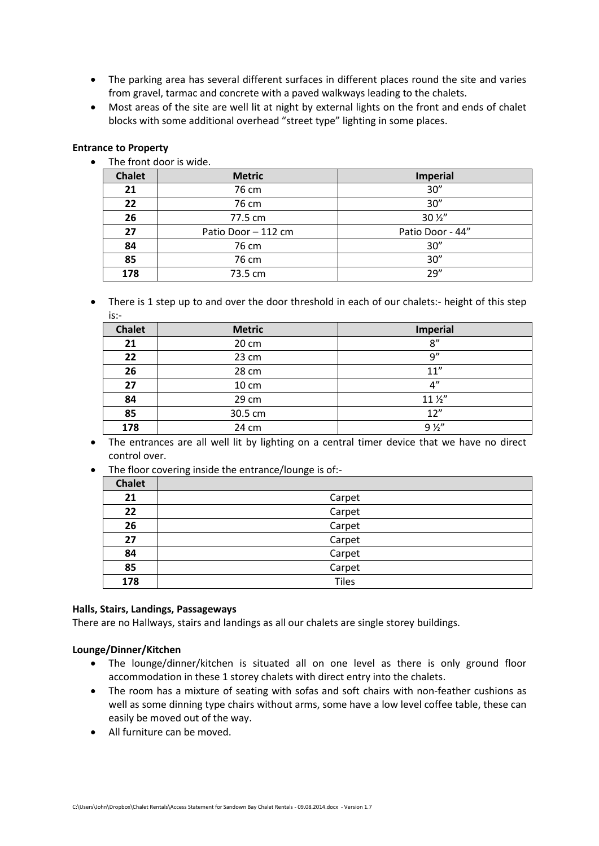- The parking area has several different surfaces in different places round the site and varies from gravel, tarmac and concrete with a paved walkways leading to the chalets.
- Most areas of the site are well lit at night by external lights on the front and ends of chalet blocks with some additional overhead "street type" lighting in some places.

### **Entrance to Property**

• The front door is wide.

| <b>Chalet</b> | <b>Metric</b>       | <b>Imperial</b>  |
|---------------|---------------------|------------------|
| 21            | 76 cm               | 30''             |
| 22            | 76 cm               | 30''             |
| 26            | 77.5 cm             | 30 1/2"          |
| 27            | Patio Door - 112 cm | Patio Door - 44" |
| 84            | 76 cm               | 30''             |
| 85            | 76 cm               | 30''             |
| 178           | 73.5 cm             | 79''             |

• There is 1 step up to and over the door threshold in each of our chalets:- height of this step is:-

| <b>Chalet</b> | <b>Metric</b> | <b>Imperial</b> |
|---------------|---------------|-----------------|
| 21            | 20 cm         | 8''             |
| 22            | 23 cm         | q''             |
| 26            | 28 cm         | 11''            |
| 27            | 10 cm         | 4"              |
| 84            | 29 cm         | $11\frac{1}{2}$ |
| 85            | 30.5 cm       | 12"             |
| 178           | 24 cm         | 9 <i>%</i>      |

• The entrances are all well lit by lighting on a central timer device that we have no direct control over.

• The floor covering inside the entrance/lounge is of:-

| <b>Chalet</b> |              |
|---------------|--------------|
| 21            | Carpet       |
| 22            | Carpet       |
| 26            | Carpet       |
| 27            | Carpet       |
| 84            | Carpet       |
| 85            | Carpet       |
| 178           | <b>Tiles</b> |

#### **Halls, Stairs, Landings, Passageways**

There are no Hallways, stairs and landings as all our chalets are single storey buildings.

#### **Lounge/Dinner/Kitchen**

- The lounge/dinner/kitchen is situated all on one level as there is only ground floor accommodation in these 1 storey chalets with direct entry into the chalets.
- The room has a mixture of seating with sofas and soft chairs with non-feather cushions as well as some dinning type chairs without arms, some have a low level coffee table, these can easily be moved out of the way.
- All furniture can be moved.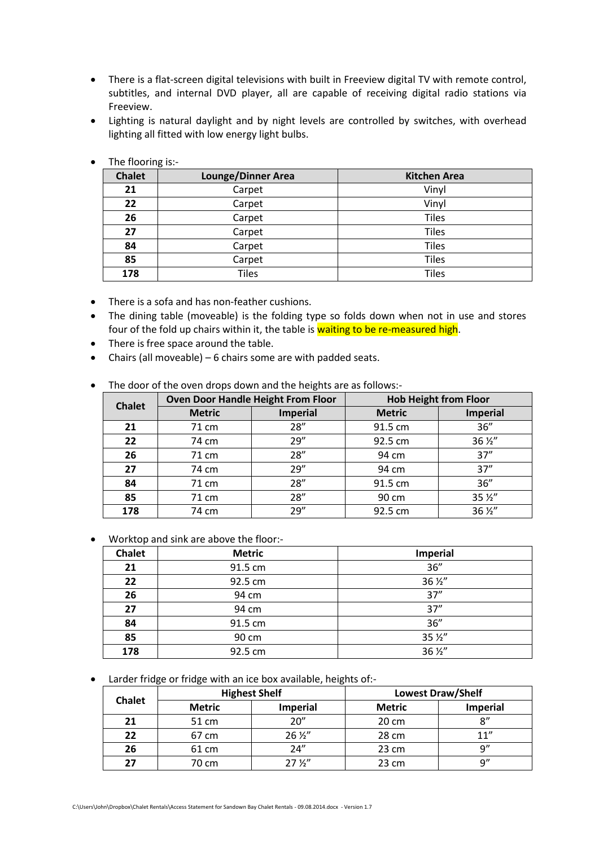- There is a flat-screen digital televisions with built in Freeview digital TV with remote control, subtitles, and internal DVD player, all are capable of receiving digital radio stations via Freeview.
- Lighting is natural daylight and by night levels are controlled by switches, with overhead lighting all fitted with low energy light bulbs.

| <b>Chalet</b> | <b>Lounge/Dinner Area</b> | <b>Kitchen Area</b> |
|---------------|---------------------------|---------------------|
| 21            | Carpet                    | Vinyl               |
| 22            | Carpet                    | Vinyl               |
| 26            | Carpet                    | <b>Tiles</b>        |
| 27            | Carpet                    | <b>Tiles</b>        |
| 84            | Carpet                    | <b>Tiles</b>        |
| 85            | Carpet                    | <b>Tiles</b>        |
| 178           | <b>Tiles</b>              | <b>Tiles</b>        |

• The flooring is:-

- There is a sofa and has non-feather cushions.
- The dining table (moveable) is the folding type so folds down when not in use and stores four of the fold up chairs within it, the table is waiting to be re-measured high.
- There is free space around the table.
- Chairs (all moveable) 6 chairs some are with padded seats.

|  |  |  | The door of the oven drops down and the heights are as follows:- |  |
|--|--|--|------------------------------------------------------------------|--|
|  |  |  |                                                                  |  |

| <b>Chalet</b> | <b>Oven Door Handle Height From Floor</b> |                 | <b>Hob Height from Floor</b> |                 |
|---------------|-------------------------------------------|-----------------|------------------------------|-----------------|
|               | <b>Metric</b>                             | <b>Imperial</b> | <b>Metric</b>                | <b>Imperial</b> |
| 21            | 71 cm                                     | 28''            | 91.5 cm                      | 36''            |
| 22            | 74 cm                                     | 29''            | 92.5 cm                      | 36 1/2"         |
| 26            | 71 cm                                     | 28''            | 94 cm                        | 37''            |
| 27            | 74 cm                                     | 29''            | 94 cm                        | 37''            |
| 84            | 71 cm                                     | 28''            | 91.5 cm                      | 36''            |
| 85            | 71 cm                                     | 28''            | 90 cm                        | 35 1/2"         |
| 178           | 74 cm                                     | 29''            | 92.5 cm                      | 36 1/2"         |

Worktop and sink are above the floor:-

| <b>Chalet</b> | <b>Metric</b> | <b>Imperial</b> |
|---------------|---------------|-----------------|
| 21            | 91.5 cm       | 36''            |
| 22            | 92.5 cm       | 36 1/2"         |
| 26            | 94 cm         | 37''            |
| 27            | 94 cm         | 37''            |
| 84            | 91.5 cm       | 36''            |
| 85            | 90 cm         | 35 1/2"         |
| 178           | 92.5 cm       | 36 1/2"         |

Larder fridge or fridge with an ice box available, heights of:-

| <b>Chalet</b> | <b>Highest Shelf</b> |                 | <b>Lowest Draw/Shelf</b> |                 |
|---------------|----------------------|-----------------|--------------------------|-----------------|
|               | <b>Metric</b>        | Imperial        | <b>Metric</b>            | <b>Imperial</b> |
| 21            | 51 cm                | 20''            | $20 \text{ cm}$          | 8''             |
| 22            | 67 cm                | $26\frac{1}{2}$ | 28 cm                    | 11''            |
| 26            | 61 cm                | 24''            | $23 \text{ cm}$          | q"              |
| 27            | 70 cm                | 27 <i>Y</i> ''  | 23 cm                    | Q''             |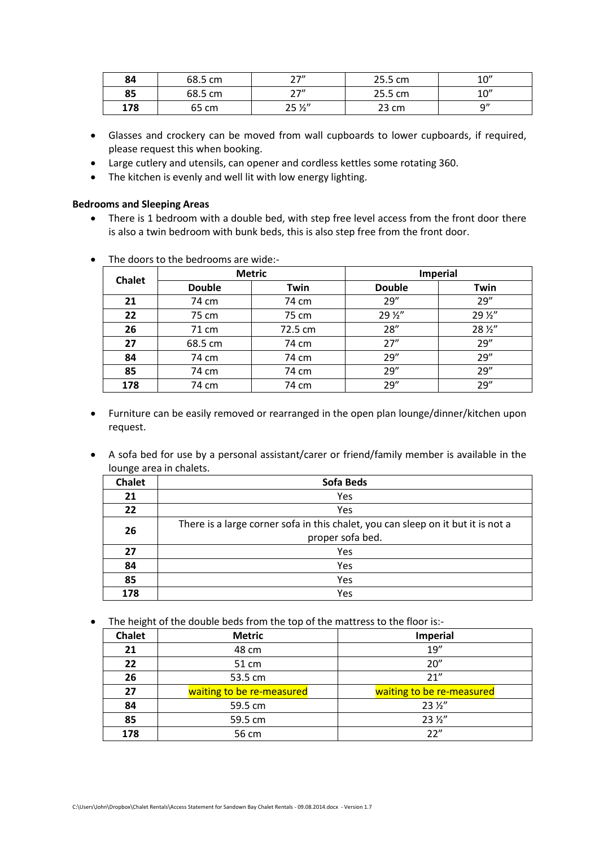| 84  | 68.5 cm | つつ〃<br>. .      | 25.5 cm | 10'' |
|-----|---------|-----------------|---------|------|
| 85  | 68.5 cm | つつ〃<br>_ .      | 25.5 cm | 10'' |
| 178 | 65 cm   | $25\frac{1}{2}$ | 23 cm   | ۵"   |

- Glasses and crockery can be moved from wall cupboards to lower cupboards, if required, please request this when booking.
- Large cutlery and utensils, can opener and cordless kettles some rotating 360.
- The kitchen is evenly and well lit with low energy lighting.

# **Bedrooms and Sleeping Areas**

• There is 1 bedroom with a double bed, with step free level access from the front door there is also a twin bedroom with bunk beds, this is also step free from the front door.

| <b>Chalet</b> | <b>Metric</b> |         | Imperial      |         |
|---------------|---------------|---------|---------------|---------|
|               | <b>Double</b> | Twin    | <b>Double</b> | Twin    |
| 21            | 74 cm         | 74 cm   | 29''          | 29''    |
| 22            | 75 cm         | 75 cm   | 29 1/2"       | 29 1/2" |
| 26            | 71 cm         | 72.5 cm | 28''          | 28 1/2" |
| 27            | 68.5 cm       | 74 cm   | 27''          | 29''    |
| 84            | 74 cm         | 74 cm   | 29''          | 29''    |
| 85            | 74 cm         | 74 cm   | 29''          | 29''    |
| 178           | 74 cm         | 74 cm   | 29''          | 29''    |

• The doors to the bedrooms are wide:-

- Furniture can be easily removed or rearranged in the open plan lounge/dinner/kitchen upon request.
- A sofa bed for use by a personal assistant/carer or friend/family member is available in the lounge area in chalets.

| <b>Chalet</b> | <b>Sofa Beds</b>                                                                 |  |
|---------------|----------------------------------------------------------------------------------|--|
| 21            | Yes                                                                              |  |
| 22            | Yes                                                                              |  |
| 26            | There is a large corner sofa in this chalet, you can sleep on it but it is not a |  |
|               | proper sofa bed.                                                                 |  |
| 27            | Yes                                                                              |  |
| 84            | Yes                                                                              |  |
| 85            | Yes                                                                              |  |
| 178           | Yes                                                                              |  |

• The height of the double beds from the top of the mattress to the floor is:-

| <b>Chalet</b> | <b>Metric</b>             | Imperial                  |
|---------------|---------------------------|---------------------------|
| 21            | 48 cm                     | 19''                      |
| 22            | 51 cm                     | 20''                      |
| 26            | 53.5 cm                   | 21''                      |
| 27            | waiting to be re-measured | waiting to be re-measured |
| 84            | 59.5 cm                   | $23\frac{1}{2}$           |
| 85            | 59.5 cm                   | $23\frac{1}{2}$           |
| 178           | 56 cm                     | 22"                       |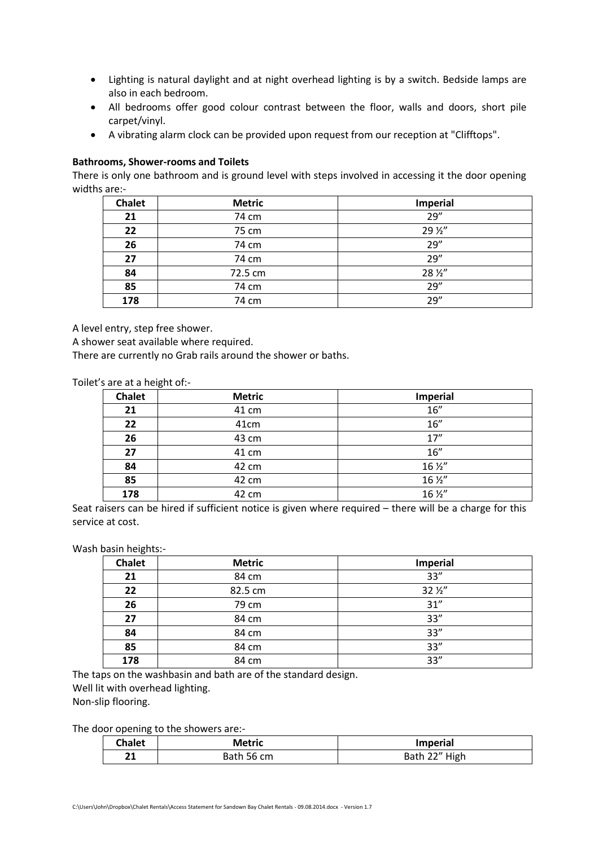- Lighting is natural daylight and at night overhead lighting is by a switch. Bedside lamps are also in each bedroom.
- All bedrooms offer good colour contrast between the floor, walls and doors, short pile carpet/vinyl.
- A vibrating alarm clock can be provided upon request from our reception at "Clifftops".

# **Bathrooms, Shower-rooms and Toilets**

There is only one bathroom and is ground level with steps involved in accessing it the door opening widths are:-

| <b>Chalet</b> | <b>Metric</b> | Imperial |
|---------------|---------------|----------|
| 21            | 74 cm         | 29''     |
| 22            | 75 cm         | 29 1/2"  |
| 26            | 74 cm         | 29''     |
| 27            | 74 cm         | 29''     |
| 84            | 72.5 cm       | 28 1/2"  |
| 85            | 74 cm         | 29''     |
| 178           | 74 cm         | 29''     |

A level entry, step free shower.

A shower seat available where required.

There are currently no Grab rails around the shower or baths.

Toilet's are at a height of:-

| <b>Chalet</b> | <b>Metric</b> | <b>Imperial</b>              |
|---------------|---------------|------------------------------|
| 21            | 41 cm         | 16''                         |
| 22            | 41cm          | 16''                         |
| 26            | 43 cm         | 17''                         |
| 27            | 41 cm         | 16''                         |
| 84            | 42 cm         | 16 1/2"                      |
| 85            | 42 cm         | $16\,\frac{\cancel{2}''}{ }$ |
| 178           | 42 cm         | 16 1/2"                      |

Seat raisers can be hired if sufficient notice is given where required – there will be a charge for this service at cost.

#### Wash basin heights:-

| <b>Chalet</b> | <b>Metric</b> | Imperial        |
|---------------|---------------|-----------------|
| 21            | 84 cm         | 33''            |
| 22            | 82.5 cm       | $32\frac{1}{2}$ |
| 26            | 79 cm         | 31''            |
| 27            | 84 cm         | 33''            |
| 84            | 84 cm         | 33''            |
| 85            | 84 cm         | 33''            |
| 178           | 84 cm         | 33''            |

The taps on the washbasin and bath are of the standard design.

Well lit with overhead lighting.

Non-slip flooring.

The door opening to the showers are:-

| Chalet   | <b>Metric</b> | <b>Imperial</b> |
|----------|---------------|-----------------|
| <br>$-1$ | Bath 56 cm    | Bath 22" High   |